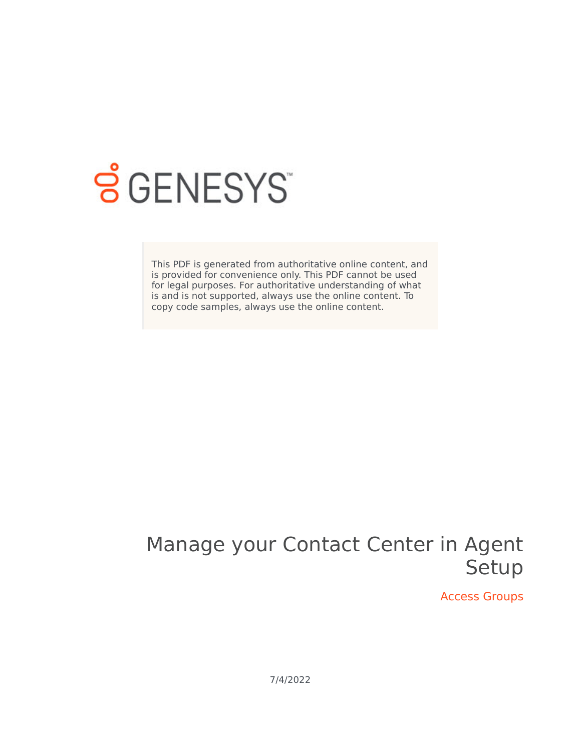

# **SGENESYS**

This PDF is generated from authoritative online content, and is provided for convenience only. This PDF cannot be used for legal purposes. For authoritative understanding of what is and is not supported, always use the online content. To copy code samples, always use the online content.

## Manage your Contact Center in Agent Setup

Access Groups

7/4/2022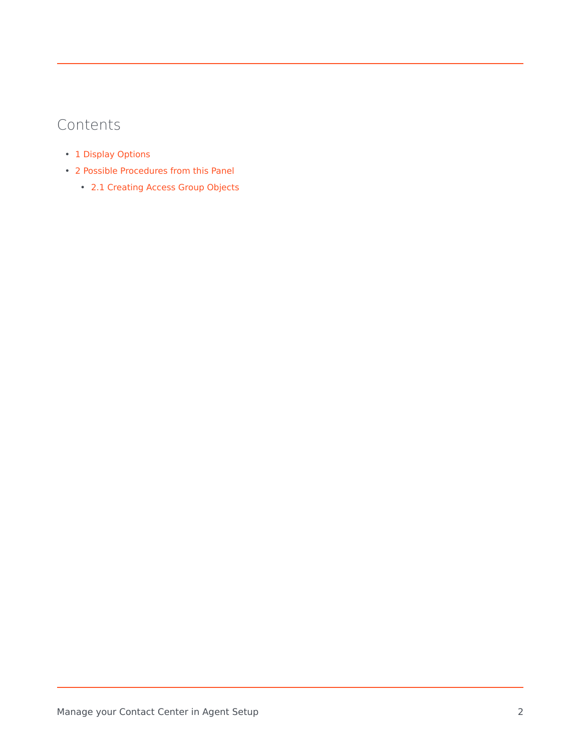## Contents

- 1 [Display Options](#page-2-0)
- 2 [Possible Procedures from this Panel](#page-3-0)
	- 2.1 [Creating Access Group Objects](#page-3-1)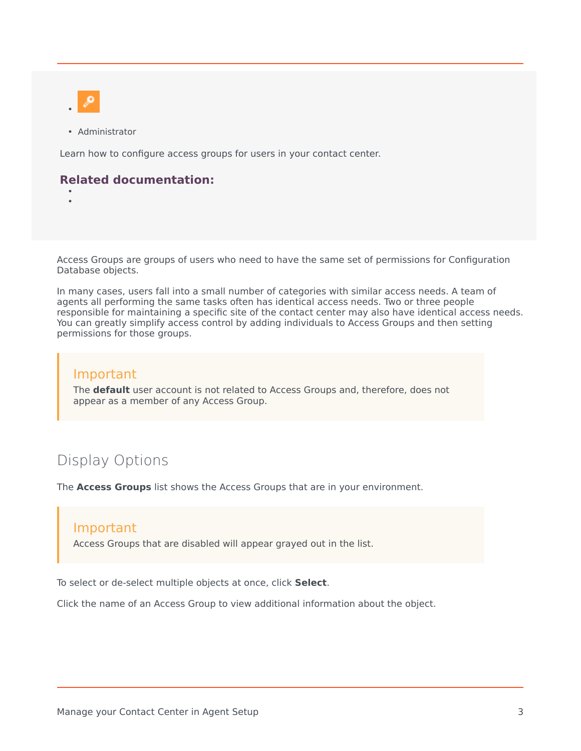

• •

• Administrator

Learn how to configure access groups for users in your contact center.

#### **Related documentation:**

Access Groups are groups of users who need to have the same set of permissions for Configuration Database objects.

In many cases, users fall into a small number of categories with similar access needs. A team of agents all performing the same tasks often has identical access needs. Two or three people responsible for maintaining a specific site of the contact center may also have identical access needs. You can greatly simplify access control by adding individuals to Access Groups and then setting permissions for those groups.

## Important

The **default** user account is not related to Access Groups and, therefore, does not appear as a member of any Access Group.

## <span id="page-2-0"></span>Display Options

The **Access Groups** list shows the Access Groups that are in your environment.

#### Important

Access Groups that are disabled will appear grayed out in the list.

To select or de-select multiple objects at once, click **Select**.

Click the name of an Access Group to view additional information about the object.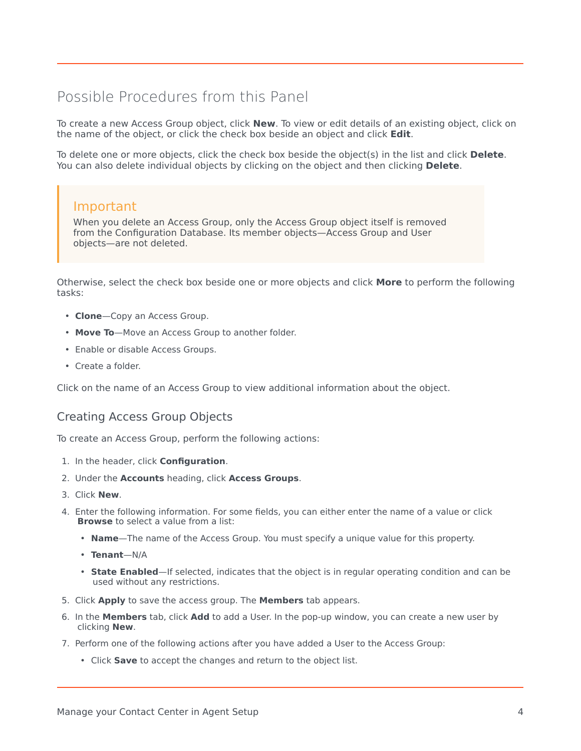## <span id="page-3-0"></span>Possible Procedures from this Panel

To create a new Access Group object, click **New**. To view or edit details of an existing object, click on the name of the object, or click the check box beside an object and click **Edit**.

To delete one or more objects, click the check box beside the object(s) in the list and click **Delete**. You can also delete individual objects by clicking on the object and then clicking **Delete**.

## Important

When you delete an Access Group, only the Access Group object itself is removed from the Configuration Database. Its member objects—Access Group and User objects—are not deleted.

Otherwise, select the check box beside one or more objects and click **More** to perform the following tasks:

- **Clone**—Copy an Access Group.
- **Move To**—Move an Access Group to another folder.
- Enable or disable Access Groups.
- Create a folder.

Click on the name of an Access Group to view additional information about the object.

## <span id="page-3-1"></span>Creating Access Group Objects

To create an Access Group, perform the following actions:

- 1. In the header, click **Configuration**.
- 2. Under the **Accounts** heading, click **Access Groups**.
- 3. Click **New**.
- 4. Enter the following information. For some fields, you can either enter the name of a value or click **Browse** to select a value from a list:
	- **Name**—The name of the Access Group. You must specify a unique value for this property.
	- **Tenant**—N/A
	- **State Enabled**—If selected, indicates that the object is in regular operating condition and can be used without any restrictions.
- 5. Click **Apply** to save the access group. The **Members** tab appears.
- 6. In the **Members** tab, click **Add** to add a User. In the pop-up window, you can create a new user by clicking **New**.
- 7. Perform one of the following actions after you have added a User to the Access Group:
	- Click **Save** to accept the changes and return to the object list.